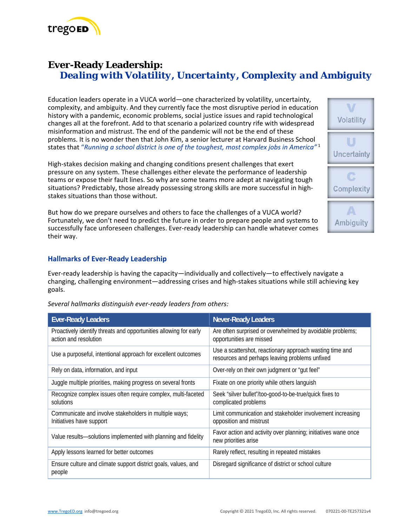

# **Ever-Ready Leadership:**  *Dealing with Volatility, Uncertainty, Complexity and Ambiguity*

Education leaders operate in a VUCA world—one characterized by volatility, uncertainty, complexity, and ambiguity. And they currently face the most disruptive period in education history with a pandemic, economic problems, social justice issues and rapid technological changes all at the forefront. Add to that scenario a polarized country rife with widespread misinformation and mistrust. The end of the pandemic will not be the end of these problems. It is no wonder then that John Kim, a senior lecturer at Harvard Business School states that "*Running a school district is one of the toughest, most complex jobs in America"*<sup>1</sup>

High‐stakes decision making and changing conditions present challenges that exert pressure on any system. These challenges either elevate the performance of leadership teams or expose their fault lines. So why are some teams more adept at navigating tough situations? Predictably, those already possessing strong skills are more successful in highstakes situations than those without.

But how do we prepare ourselves and others to face the challenges of a VUCA world? Fortunately, we don't need to predict the future in order to prepare people and systems to successfully face unforeseen challenges. Ever‐ready leadership can handle whatever comes their way.

# **Volatility** Uncertainty Complexity **Ambiguity**

## **Hallmarks of Ever‐Ready Leadership**

Ever-ready leadership is having the capacity—individually and collectively—to effectively navigate a changing, challenging environment—addressing crises and high‐stakes situations while still achieving key goals.

| <b>Ever-Ready Leaders</b>                                                                  | <b>Never-Ready Leaders</b>                                                                                 |  |
|--------------------------------------------------------------------------------------------|------------------------------------------------------------------------------------------------------------|--|
| Proactively identify threats and opportunities allowing for early<br>action and resolution | Are often surprised or overwhelmed by avoidable problems;<br>opportunities are missed                      |  |
| Use a purposeful, intentional approach for excellent outcomes                              | Use a scattershot, reactionary approach wasting time and<br>resources and perhaps leaving problems unfixed |  |
| Rely on data, information, and input                                                       | Over-rely on their own judgment or "gut feel"                                                              |  |
| Juggle multiple priorities, making progress on several fronts                              | Fixate on one priority while others languish                                                               |  |
| Recognize complex issues often require complex, multi-faceted<br>solutions                 | Seek "silver bullet"/too-good-to-be-true/quick fixes to<br>complicated problems                            |  |
| Communicate and involve stakeholders in multiple ways;<br>Initiatives have support         | Limit communication and stakeholder involvement increasing<br>opposition and mistrust                      |  |
| Value results-solutions implemented with planning and fidelity                             | Favor action and activity over planning; initiatives wane once<br>new priorities arise                     |  |
| Apply lessons learned for better outcomes                                                  | Rarely reflect, resulting in repeated mistakes                                                             |  |
| Ensure culture and climate support district goals, values, and<br>people                   | Disregard significance of district or school culture                                                       |  |

*Several hallmarks distinguish ever‐ready leaders from others:*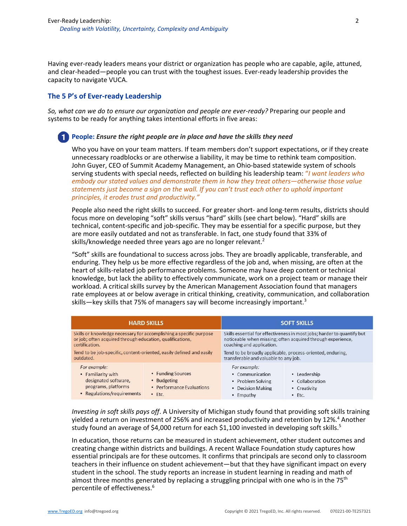Having ever-ready leaders means your district or organization has people who are capable, agile, attuned, and clear-headed—people you can trust with the toughest issues. Ever-ready leadership provides the capacity to navigate VUCA.

### **The 5 P's of Ever‐ready Leadership**

*So, what can we do to ensure our organization and people are ever‐ready?* Preparing our people and systems to be ready for anything takes intentional efforts in five areas:

#### **People:** *Ensure the right people are in place and have the skills they need*

Who you have on your team matters. If team members don't support expectations, or if they create unnecessary roadblocks or are otherwise a liability, it may be time to rethink team composition. John Guyer, CEO of Summit Academy Management, an Ohio‐based statewide system of schools serving students with special needs, reflected on building his leadership team: "*I want leaders who embody our stated values and demonstrate them in how they treat others—otherwise those value statements just become a sign on the wall. If you can't trust each other to uphold important principles, it erodes trust and productivity."* 

People also need the right skills to succeed. For greater short- and long-term results, districts should focus more on developing "soft" skills versus "hard" skills (see chart below). "Hard" skills are technical, content‐specific and job‐specific. They may be essential for a specific purpose, but they are more easily outdated and not as transferable. In fact, one study found that 33% of skills/knowledge needed three years ago are no longer relevant.<sup>2</sup>

"Soft" skills are foundational to success across jobs. They are broadly applicable, transferable, and enduring. They help us be more effective regardless of the job and, when missing, are often at the heart of skills‐related job performance problems. Someone may have deep content or technical knowledge, but lack the ability to effectively communicate, work on a project team or manage their workload. A critical skills survey by the American Management Association found that managers rate employees at or below average in critical thinking, creativity, communication, and collaboration skills—key skills that 75% of managers say will become increasingly important.<sup>3</sup>

| <b>HARD SKILLS</b>                                                                                                                                |                                                                           | <b>SOFT SKILLS</b>                                                                                                                                                  |                                                                 |
|---------------------------------------------------------------------------------------------------------------------------------------------------|---------------------------------------------------------------------------|---------------------------------------------------------------------------------------------------------------------------------------------------------------------|-----------------------------------------------------------------|
| Skills or knowledge necessary for accomplishing a specific purpose<br>or job; often acquired through education, qualifications,<br>certification. |                                                                           | Skills essential for effectiveness in most jobs; harder to quantify but<br>noticeable when missing; often acquired through experience,<br>coaching and application. |                                                                 |
| Tend to be job-specific, content-oriented, easily defined and easily<br>outdated.                                                                 |                                                                           | Tend to be broadly applicable, process-oriented, enduring,<br>transferable and valuable to any job.                                                                 |                                                                 |
| For example:<br>• Familiarity with<br>designated software,<br>programs, platforms<br>• Regulations/requirements                                   | • Funding Sources<br>• Budgeting<br>• Performance Evaluations<br>$•$ Ftc. | For example:<br>• Communication<br>• Problem Solving<br><b>Decision Making</b><br>Empathy                                                                           | • Leadership<br>• Collaboration<br>• Creativity<br>$\cdot$ Etc. |

*Investing in soft skills pays off*. A University of Michigan study found that providing soft skills training yielded a return on investment of 256% and increased productivity and retention by 12%.<sup>4</sup> Another study found an average of \$4,000 return for each \$1,100 invested in developing soft skills.<sup>5</sup>

In education, those returns can be measured in student achievement, other student outcomes and creating change within districts and buildings. A recent Wallace Foundation study captures how essential principals are for these outcomes. It confirms that principals are second only to classroom teachers in their influence on student achievement—but that they have significant impact on every student in the school. The study reports an increase in student learning in reading and math of almost three months generated by replacing a struggling principal with one who is in the 75<sup>th</sup> percentile of effectiveness.6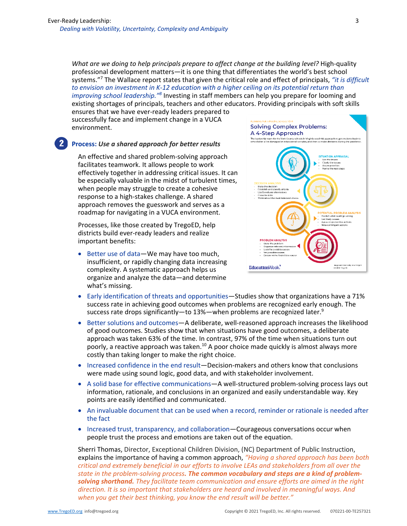*What are we doing to help principals prepare to affect change at the building level?* High‐quality professional development matters—it is one thing that differentiates the world's best school systems."7 The Wallace report states that given the critical role and effect of principals, *"it is difficult to envision an investment in K‐12 education with a higher ceiling on its potential return than improving school leadership."8* Investing in staff members can help you prepare for looming and existing shortages of principals, teachers and other educators. Providing principals with soft skills

ensures that we have ever‐ready leaders prepared to successfully face and implement change in a VUCA environment.

### **Process:** *Use a shared approach for better results*

An effective and shared problem‐solving approach facilitates teamwork. It allows people to work effectively together in addressing critical issues. It can be especially valuable in the midst of turbulent times, when people may struggle to create a cohesive response to a high‐stakes challenge. A shared approach removes the guesswork and serves as a roadmap for navigating in a VUCA environment.

Processes, like those created by TregoED, help districts build ever‐ready leaders and realize important benefits:

● Better use of data—We may have too much, insufficient, or rapidly changing data increasing complexity. A systematic approach helps us organize and analyze the data—and determine what's missing.



- Early identification of threats and opportunities—Studies show that organizations have a 71% success rate in achieving good outcomes when problems are recognized early enough. The success rate drops significantly—to 13%—when problems are recognized later.<sup>9</sup>
- Better solutions and outcomes—A deliberate, well-reasoned approach increases the likelihood of good outcomes. Studies show that when situations have good outcomes, a deliberate approach was taken 63% of the time. In contrast, 97% of the time when situations turn out poorly, a reactive approach was taken.<sup>10</sup> A poor choice made quickly is almost always more costly than taking longer to make the right choice.
- Increased confidence in the end result—Decision-makers and others know that conclusions were made using sound logic, good data, and with stakeholder involvement.
- A solid base for effective communications—A well-structured problem-solving process lays out information, rationale, and conclusions in an organized and easily understandable way. Key points are easily identified and communicated.
- An invaluable document that can be used when a record, reminder or rationale is needed after the fact
- Increased trust, transparency, and collaboration—Courageous conversations occur when people trust the process and emotions are taken out of the equation.

Sherri Thomas, Director, Exceptional Children Division, (NC) Department of Public Instruction, explains the importance of having a common approach, *"Having a shared approach has been both critical and extremely beneficial in our efforts to involve LEAs and stakeholders from all over the state in the problem‐solving process. The common vocabulary and steps are a kind of problem‐ solving shorthand. They facilitate team communication and ensure efforts are aimed in the right direction. It is so important that stakeholders are heard and involved in meaningful ways. And when you get their best thinking, you know the end result will be better."*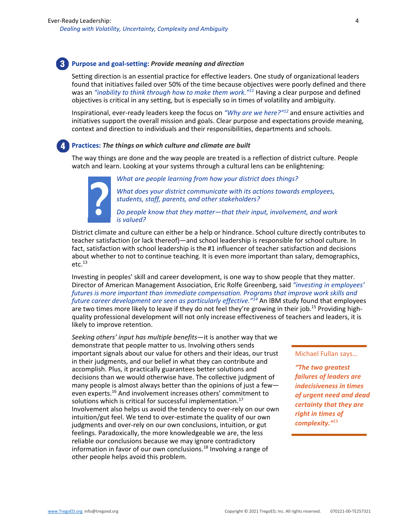# **Purpose and goal‐setting:** *Provide meaning and direction*

Setting direction is an essential practice for effective leaders. One study of organizational leaders found that initiatives failed over 50% of the time because objectives were poorly defined and there was an *"inability to think through how to make them work."11* Having a clear purpose and defined objectives is critical in any setting, but is especially so in times of volatility and ambiguity.

Inspirational, ever‐ready leaders keep the focus on *"Why are we here?"12* and ensure activities and initiatives support the overall mission and goals. Clear purpose and expectations provide meaning, context and direction to individuals and their responsibilities, departments and schools.

# **Practices:** *The things on which culture and climate are built*

The way things are done and the way people are treated is a reflection of district culture. People watch and learn. Looking at your systems through a cultural lens can be enlightening:



*What are people learning from how your district does things?* 

*What does your district communicate with its actions towards employees, students, staff, parents, and other stakeholders?* 

*Do people know that they matter—that their input, involvement, and work is valued?* 

District climate and culture can either be a help or hindrance. School culture directly contributes to teacher satisfaction (or lack thereof)—and school leadership is responsible for school culture. In fact, satisfaction with school leadership is the #1 influencer of teacher satisfaction and decisions about whether to not to continue teaching. It is even more important than salary, demographics,  $etc.<sup>13</sup>$ 

Investing in peoples' skill and career development, is one way to show people that they matter. Director of American Management Association, Eric Rolfe Greenberg, said *"investing in employees' futures is more important than immediate compensation. Programs that improve work skills and future career development are seen as particularly effective."14* An IBM study found that employees are two times more likely to leave if they do not feel they're growing in their job.<sup>15</sup> Providing highquality professional development will not only increase effectiveness of teachers and leaders, it is likely to improve retention.

*Seeking others' input has multiple benefits*—it is another way that we demonstrate that people matter to us. Involving others sends important signals about our value for others and their ideas, our trust in their judgments, and our belief in what they can contribute and accomplish. Plus, it practically guarantees better solutions and decisions than we would otherwise have. The collective judgment of many people is almost always better than the opinions of just a few even experts.<sup>16</sup> And involvement increases others' commitment to solutions which is critical for successful implementation.<sup>17</sup> Involvement also helps us avoid the tendency to over‐rely on our own intuition/gut feel. We tend to over‐estimate the quality of our own judgments and over-rely on our own conclusions, intuition, or gut feelings. Paradoxically, the more knowledgeable we are, the less reliable our conclusions because we may ignore contradictory information in favor of our own conclusions.<sup>18</sup> Involving a range of other people helps avoid this problem.

#### Michael Fullan says…

*"The two greatest failures of leaders are indecisiveness in times of urgent need and dead certainty that they are right in times of complexity."*19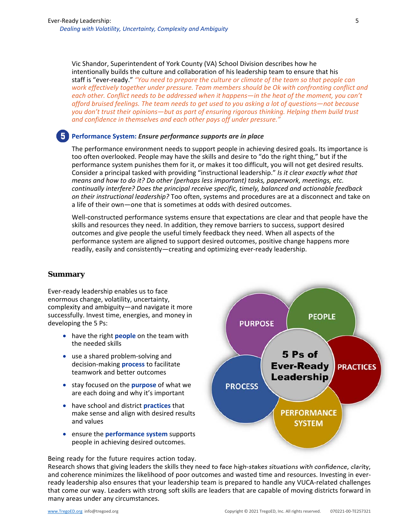Vic Shandor, Superintendent of York County (VA) School Division describes how he intentionally builds the culture and collaboration of his leadership team to ensure that his staff is "ever‐ready." *"You need to prepare the culture or climate of the team so that people can work effectively together under pressure. Team members should be Ok with confronting conflict and*  each other. Conflict needs to be addressed when it happens—in the heat of the moment, you can't *afford bruised feelings. The team needs to get used to you asking a lot of questions—not because you don't trust their opinions—but as part of ensuring rigorous thinking. Helping them build trust and confidence in themselves and each other pays off under pressure."* 

### **Performance System:** *Ensure performance supports are in place*

The performance environment needs to support people in achieving desired goals. Its importance is too often overlooked. People may have the skills and desire to "do the right thing," but if the performance system punishes them for it, or makes it too difficult, you will not get desired results. Consider a principal tasked with providing "instructional leadership." *Is it clear exactly what that means and how to do it? Do other (perhaps less important) tasks, paperwork, meetings, etc. continually interfere? Does the principal receive specific, timely, balanced and actionable feedback on their instructional leadership?* Too often, systems and procedures are at a disconnect and take on a life of their own—one that is sometimes at odds with desired outcomes.

Well-constructed performance systems ensure that expectations are clear and that people have the skills and resources they need. In addition, they remove barriers to success, support desired outcomes and give people the useful timely feedback they need. When all aspects of the performance system are aligned to support desired outcomes, positive change happens more readily, easily and consistently—creating and optimizing ever‐ready leadership.

### **Summary**

Ever‐ready leadership enables us to face enormous change, volatility, uncertainty, complexity and ambiguity—and navigate it more successfully. Invest time, energies, and money in developing the 5 Ps:

- have the right **people** on the team with the needed skills
- use a shared problem-solving and decision‐making **process** to facilitate teamwork and better outcomes
- stay focused on the **purpose** of what we are each doing and why it's important
- have school and district **practices** that make sense and align with desired results and values
- ensure the **performance system** supports people in achieving desired outcomes.



Research shows that giving leaders the skills they need to face high‐stakes situations with confidence, clarity, and coherence minimizes the likelihood of poor outcomes and wasted time and resources. Investing in everready leadership also ensures that your leadership team is prepared to handle any VUCA-related challenges that come our way. Leaders with strong soft skills are leaders that are capable of moving districts forward in many areas under any circumstances.

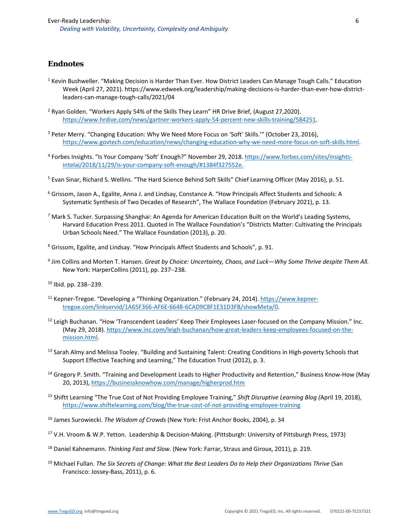# **Endnotes**

- <sup>1</sup> Kevin Bushweller. "Making Decision is Harder Than Ever. How District Leaders Can Manage Tough Calls." Education Week (April 27, 2021). https://www.edweek.org/leadership/making‐decisions‐is‐harder‐than‐ever‐how‐district‐ leaders‐can‐manage‐tough‐calls/2021/04
- <sup>2</sup> Ryan Golden. "Workers Apply 54% of the Skills They Learn" HR Drive Brief, (August 27,2020). https://www.hrdive.com/news/gartner‐workers‐apply‐54‐percent‐new‐skills‐training/584251.
- <sup>3</sup> Peter Merry. "Changing Education: Why We Need More Focus on 'Soft' Skills.'" (October 23, 2016), https://www.govtech.com/education/news/changing-education-why-we-need-more-focus-on-soft-skills.html.
- <sup>4</sup> Forbes Insights. "Is Your Company 'Soft' Enough?" November 29, 2018. https://www.forbes.com/sites/insightsintelai/2018/11/29/is‐your‐company‐soft‐enough/#1384f327552e.
- <sup>5</sup> Evan Sinar, Richard S. Wellins. "The Hard Science Behind Soft Skills" Chief Learning Officer (May 2016), p. 51.
- 6 Grissom, Jason A., Egalite, Anna J. and Lindsay, Constance A. "How Principals Affect Students and Schools: A Systematic Synthesis of Two Decades of Research", The Wallace Foundation (February 2021), p. 13.
- <sup>7</sup> Mark S. Tucker. Surpassing Shanghai: An Agenda for American Education Built on the World's Leading Systems, Harvard Education Press 2011. Quoted in The Wallace Foundation's "Districts Matter: Cultivating the Principals Urban Schools Need." The Wallace Foundation (2013), p. 20.
- 8 Grissom, Egalite, and Lindsay. "How Principals Affect Students and Schools", p. 91.
- 9 Jim Collins and Morten T. Hansen. *Great by Choice: Uncertainty, Chaos, and Luck—Why Some Thrive despite Them All.* New York: HarperCollins (2011), pp. 237-238.
- $10$  Ibid. pp. 238-239.
- <sup>11</sup> Kepner-Tregoe. "Developing a "Thinking Organization." (February 24, 2014). https://www.kepnertregoe.com/linkservid/1A65F366‐AF6E‐6648‐6CAD9C8F1E31D3FB/showMeta/0.
- 12 Leigh Buchanan. "How 'Transcendent Leaders' Keep Their Employees Laser-focused on the Company Mission." Inc. (May 29, 2018). https://www.inc.com/leigh‐buchanan/how‐great‐leaders‐keep‐employees‐focused‐on‐the‐ mission.html.
- <sup>13</sup> Sarah Almy and Melissa Tooley. "Building and Sustaining Talent: Creating Conditions in High-poverty Schools that Support Effective Teaching and Learning," The Education Trust (2012), p. 3.
- 14 Gregory P. Smith. "Training and Development Leads to Higher Productivity and Retention," Business Know‐How (May 20, 2013), https://businessknowhow.com/manage/higherprod.htm
- 15 Shiftt Learning "The True Cost of Not Providing Employee Training," *Shift Disruptive Learning Blog (*April 19, 2018), https://www.shiftelearning.com/blog/the‐true‐cost‐of‐not‐providing‐employee‐training
- 16 James Surowiecki. *The Wisdom of Crowds* (New York: Frist Anchor Books, 2004), p. 34
- 17 V.H. Vroom & W.P. Yetton. Leadership & Decision‐Making. (Pittsburgh: University of Pittsburgh Press, 1973)
- 18 Daniel Kahnemann. *Thinking Fast and Slow*. (New York: Farrar, Straus and Giroux, 2011), p. 219.
- 19 Michael Fullan. *The Six Secrets of Change: What the Best Leaders Do to Help their Organizations Thrive* (San Francisco: Jossey‐Bass, 2011), p. 6.